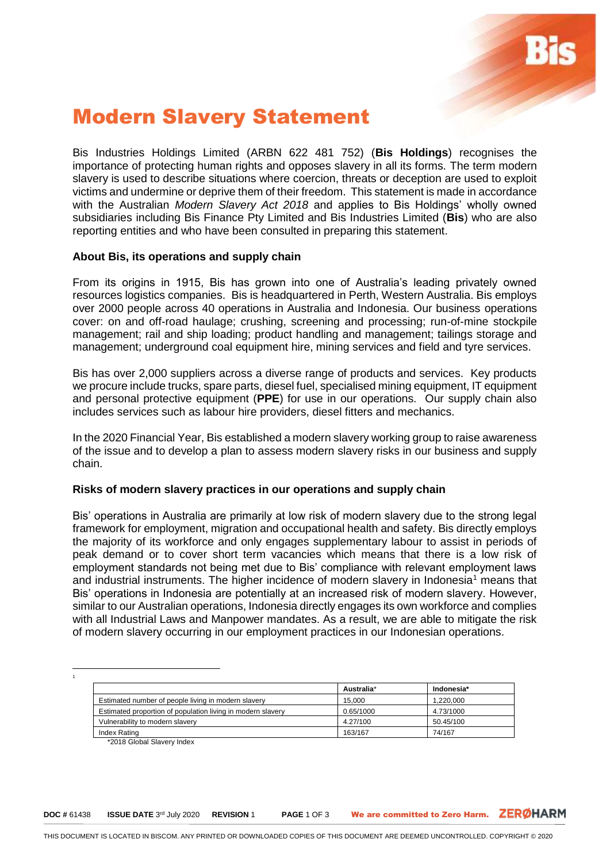

# Modern Slavery Statement

Bis Industries Holdings Limited (ARBN 622 481 752) (**Bis Holdings**) recognises the importance of protecting human rights and opposes slavery in all its forms. The term modern slavery is used to describe situations where coercion, threats or deception are used to exploit victims and undermine or deprive them of their freedom. This statement is made in accordance with the Australian *Modern Slavery Act 2018* and applies to Bis Holdings' wholly owned subsidiaries including Bis Finance Pty Limited and Bis Industries Limited (**Bis**) who are also reporting entities and who have been consulted in preparing this statement.

## **About Bis, its operations and supply chain**

From its origins in 1915, Bis has grown into one of Australia's leading privately owned resources logistics companies. Bis is headquartered in Perth, Western Australia. Bis employs over 2000 people across 40 operations in Australia and Indonesia. Our business operations cover: on and off-road haulage; crushing, screening and processing; run-of-mine stockpile management; rail and ship loading; product handling and management; tailings storage and management; underground coal equipment hire, mining services and field and tyre services.

Bis has over 2,000 suppliers across a diverse range of products and services. Key products we procure include trucks, spare parts, diesel fuel, specialised mining equipment, IT equipment and personal protective equipment (**PPE**) for use in our operations. Our supply chain also includes services such as labour hire providers, diesel fitters and mechanics.

In the 2020 Financial Year, Bis established a modern slavery working group to raise awareness of the issue and to develop a plan to assess modern slavery risks in our business and supply chain.

## **Risks of modern slavery practices in our operations and supply chain**

Bis' operations in Australia are primarily at low risk of modern slavery due to the strong legal framework for employment, migration and occupational health and safety. Bis directly employs the majority of its workforce and only engages supplementary labour to assist in periods of peak demand or to cover short term vacancies which means that there is a low risk of employment standards not being met due to Bis' compliance with relevant employment laws and industrial instruments. The higher incidence of modern slavery in Indonesia<sup>1</sup> means that Bis' operations in Indonesia are potentially at an increased risk of modern slavery. However, similar to our Australian operations, Indonesia directly engages its own workforce and complies with all Industrial Laws and Manpower mandates. As a result, we are able to mitigate the risk of modern slavery occurring in our employment practices in our Indonesian operations.

1

 $\overline{a}$ 

|                                                             | Australia* | Indonesia* |
|-------------------------------------------------------------|------------|------------|
| Estimated number of people living in modern slavery         | 15.000     | 1.220.000  |
| Estimated proportion of population living in modern slavery | 0.65/1000  | 4.73/1000  |
| Vulnerability to modern slavery                             | 4.27/100   | 50.45/100  |
| Index Rating                                                | 163/167    | 74/167     |

\*2018 Global Slavery Index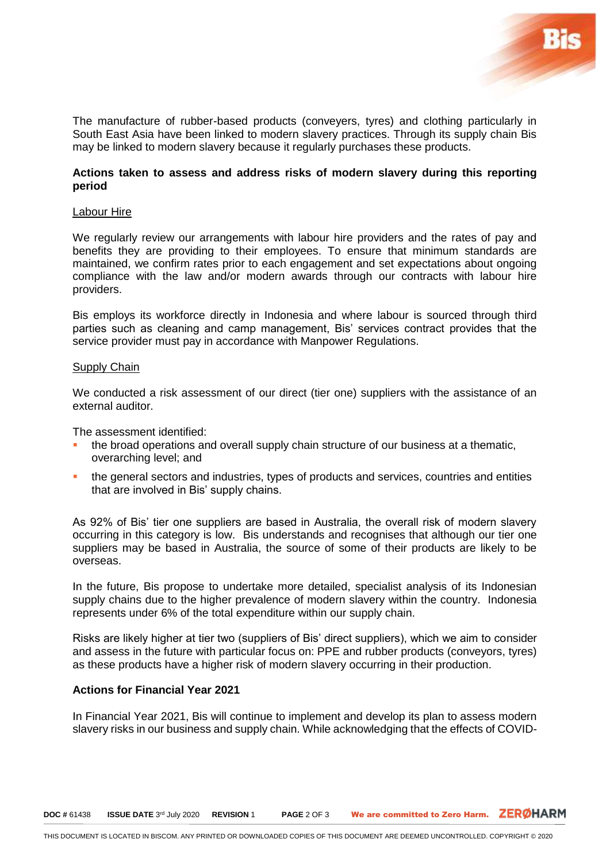

The manufacture of rubber-based products (conveyers, tyres) and clothing particularly in South East Asia have been linked to modern slavery practices. Through its supply chain Bis may be linked to modern slavery because it regularly purchases these products.

## **Actions taken to assess and address risks of modern slavery during this reporting period**

#### Labour Hire

We regularly review our arrangements with labour hire providers and the rates of pay and benefits they are providing to their employees. To ensure that minimum standards are maintained, we confirm rates prior to each engagement and set expectations about ongoing compliance with the law and/or modern awards through our contracts with labour hire providers.

Bis employs its workforce directly in Indonesia and where labour is sourced through third parties such as cleaning and camp management, Bis' services contract provides that the service provider must pay in accordance with Manpower Regulations.

#### Supply Chain

We conducted a risk assessment of our direct (tier one) suppliers with the assistance of an external auditor.

The assessment identified:

- the broad operations and overall supply chain structure of our business at a thematic, overarching level; and
- the general sectors and industries, types of products and services, countries and entities that are involved in Bis' supply chains.

As 92% of Bis' tier one suppliers are based in Australia, the overall risk of modern slavery occurring in this category is low. Bis understands and recognises that although our tier one suppliers may be based in Australia, the source of some of their products are likely to be overseas.

In the future, Bis propose to undertake more detailed, specialist analysis of its Indonesian supply chains due to the higher prevalence of modern slavery within the country. Indonesia represents under 6% of the total expenditure within our supply chain.

Risks are likely higher at tier two (suppliers of Bis' direct suppliers), which we aim to consider and assess in the future with particular focus on: PPE and rubber products (conveyors, tyres) as these products have a higher risk of modern slavery occurring in their production.

#### **Actions for Financial Year 2021**

In Financial Year 2021, Bis will continue to implement and develop its plan to assess modern slavery risks in our business and supply chain. While acknowledging that the effects of COVID-